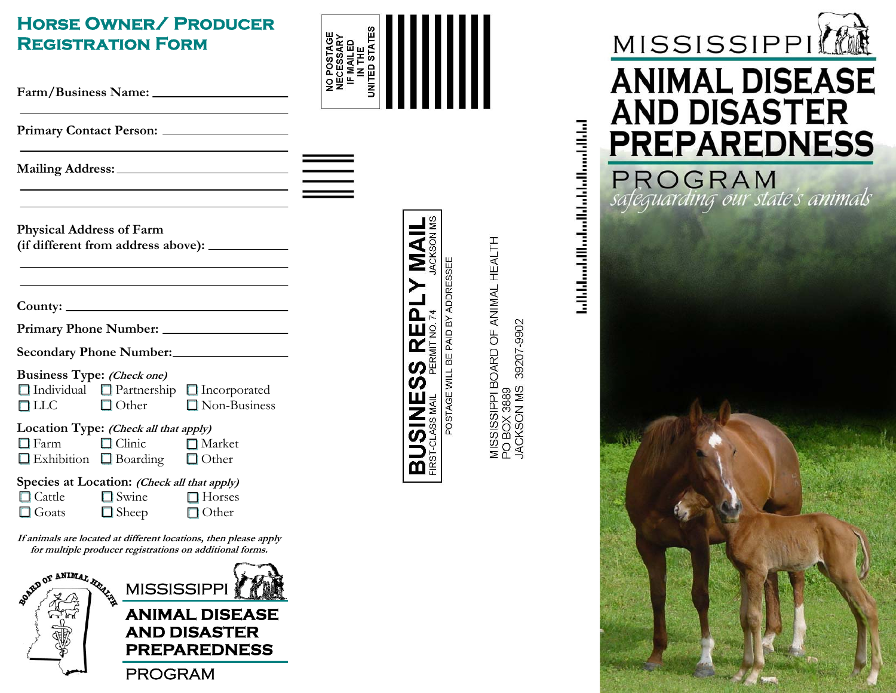# **Horse Owner/ Producer**

| <b>REGISTRATION FORM</b>                                                                                                     |                                                                  | <b>NO POSTAGE<br/>NECESSARY<br/>IF MAILED<br/>IN THE<br/>JNITED STATES</b> |
|------------------------------------------------------------------------------------------------------------------------------|------------------------------------------------------------------|----------------------------------------------------------------------------|
|                                                                                                                              |                                                                  | ξ                                                                          |
|                                                                                                                              | <u> 1989 - Johann Barbara, martin amerikan ba</u>                |                                                                            |
|                                                                                                                              |                                                                  |                                                                            |
| <b>Physical Address of Farm</b>                                                                                              |                                                                  | <b>JIVMNAIC</b>                                                            |
| County:                                                                                                                      |                                                                  | ĥ.                                                                         |
| Secondary Phone Number:                                                                                                      |                                                                  | <b>S REI</b>                                                               |
| <b>Business Type: (Check one)</b><br>$\Box$ Individual<br>$\Box$ LLC                                                         | □ Partnership □ Incorporated<br>$\Box$ Other $\Box$ Non-Business |                                                                            |
| Location Type: (Check all that apply)<br>$\Box$ Clinic<br>$\Box$ Farm<br>$\Box$ Exhibition $\Box$ Boarding                   | $\Box$ Market<br>$\Box$ Other                                    | FIRST-CLASS MAIL<br>$\overline{\mathbf{m}}$                                |
| Species at Location: (Check all that apply)<br>$\Box$ Cattle<br>$\Box$ Swine<br>$\Box$ Goats<br>$\Box$ Sheep                 | $\Box$ Horses<br>$\Box$ Other                                    |                                                                            |
| If animals are located at different locations, then please apply<br>for multiple producer registrations on additional forms. |                                                                  |                                                                            |

SORE ANIMAL RESERVE **MISSISSIPPI ANIMAL DISEASE AND DISASTER A PREPAREDNESS** PROGRAM

| MISSISSIPPI BOARD OF ANIMAL HEALTH |             | JACKSON MS 39207-9902 |
|------------------------------------|-------------|-----------------------|
|                                    | PO BOX 3889 |                       |

POSTAGE WILL BE PAID BY ADDRESSEE

أمانا أمسطا مالملط والملمط والمائدة والملاحظ